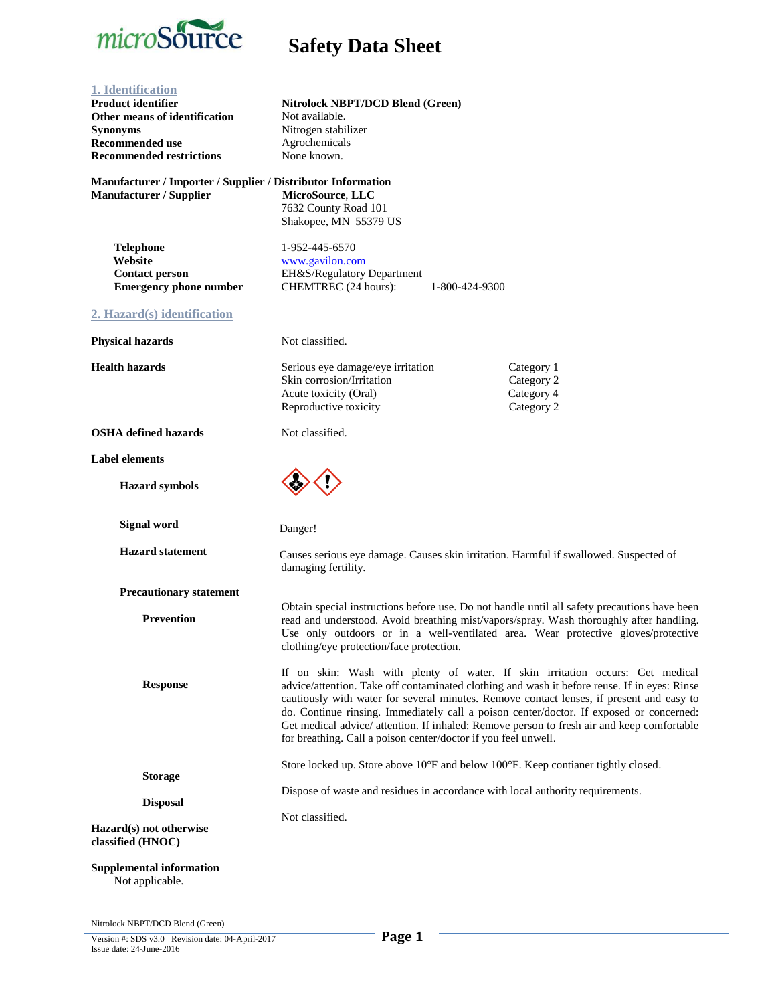

| 1. Identification<br><b>Product identifier</b><br>Other means of identification<br><b>Synonyms</b><br><b>Recommended use</b><br><b>Recommended restrictions</b> | <b>Nitrolock NBPT/DCD Blend (Green)</b><br>Not available.<br>Nitrogen stabilizer<br>Agrochemicals<br>None known.                                                                                                                                                                                                                                                                                                                                                                                                                     |                                                      |
|-----------------------------------------------------------------------------------------------------------------------------------------------------------------|--------------------------------------------------------------------------------------------------------------------------------------------------------------------------------------------------------------------------------------------------------------------------------------------------------------------------------------------------------------------------------------------------------------------------------------------------------------------------------------------------------------------------------------|------------------------------------------------------|
| Manufacturer / Importer / Supplier / Distributor Information<br>Manufacturer / Supplier                                                                         | MicroSource, LLC<br>7632 County Road 101<br>Shakopee, MN 55379 US                                                                                                                                                                                                                                                                                                                                                                                                                                                                    |                                                      |
| <b>Telephone</b><br>Website<br><b>Contact person</b><br><b>Emergency phone number</b>                                                                           | 1-952-445-6570<br>www.gavilon.com<br>EH&S/Regulatory Department<br>CHEMTREC (24 hours):<br>1-800-424-9300                                                                                                                                                                                                                                                                                                                                                                                                                            |                                                      |
| 2. Hazard(s) identification                                                                                                                                     |                                                                                                                                                                                                                                                                                                                                                                                                                                                                                                                                      |                                                      |
| <b>Physical hazards</b>                                                                                                                                         | Not classified.                                                                                                                                                                                                                                                                                                                                                                                                                                                                                                                      |                                                      |
| <b>Health hazards</b>                                                                                                                                           | Serious eye damage/eye irritation<br>Skin corrosion/Irritation<br>Acute toxicity (Oral)<br>Reproductive toxicity                                                                                                                                                                                                                                                                                                                                                                                                                     | Category 1<br>Category 2<br>Category 4<br>Category 2 |
| <b>OSHA</b> defined hazards                                                                                                                                     | Not classified.                                                                                                                                                                                                                                                                                                                                                                                                                                                                                                                      |                                                      |
| <b>Label elements</b>                                                                                                                                           |                                                                                                                                                                                                                                                                                                                                                                                                                                                                                                                                      |                                                      |
| <b>Hazard</b> symbols                                                                                                                                           |                                                                                                                                                                                                                                                                                                                                                                                                                                                                                                                                      |                                                      |
| <b>Signal word</b>                                                                                                                                              | Danger!                                                                                                                                                                                                                                                                                                                                                                                                                                                                                                                              |                                                      |
| <b>Hazard statement</b>                                                                                                                                         | Causes serious eye damage. Causes skin irritation. Harmful if swallowed. Suspected of<br>damaging fertility.                                                                                                                                                                                                                                                                                                                                                                                                                         |                                                      |
| <b>Precautionary statement</b>                                                                                                                                  |                                                                                                                                                                                                                                                                                                                                                                                                                                                                                                                                      |                                                      |
| <b>Prevention</b>                                                                                                                                               | Obtain special instructions before use. Do not handle until all safety precautions have been<br>read and understood. Avoid breathing mist/vapors/spray. Wash thoroughly after handling.<br>Use only outdoors or in a well-ventilated area. Wear protective gloves/protective<br>clothing/eye protection/face protection.                                                                                                                                                                                                             |                                                      |
| <b>Response</b>                                                                                                                                                 | If on skin: Wash with plenty of water. If skin irritation occurs: Get medical<br>advice/attention. Take off contaminated clothing and wash it before reuse. If in eyes: Rinse<br>cautiously with water for several minutes. Remove contact lenses, if present and easy to<br>do. Continue rinsing. Immediately call a poison center/doctor. If exposed or concerned:<br>Get medical advice/ attention. If inhaled: Remove person to fresh air and keep comfortable<br>for breathing. Call a poison center/doctor if you feel unwell. |                                                      |
|                                                                                                                                                                 | Store locked up. Store above 10°F and below 100°F. Keep contianer tightly closed.                                                                                                                                                                                                                                                                                                                                                                                                                                                    |                                                      |
| <b>Storage</b><br><b>Disposal</b>                                                                                                                               | Dispose of waste and residues in accordance with local authority requirements.                                                                                                                                                                                                                                                                                                                                                                                                                                                       |                                                      |
| Hazard(s) not otherwise<br>classified (HNOC)                                                                                                                    | Not classified.                                                                                                                                                                                                                                                                                                                                                                                                                                                                                                                      |                                                      |
| <b>Supplemental information</b><br>Not applicable.                                                                                                              |                                                                                                                                                                                                                                                                                                                                                                                                                                                                                                                                      |                                                      |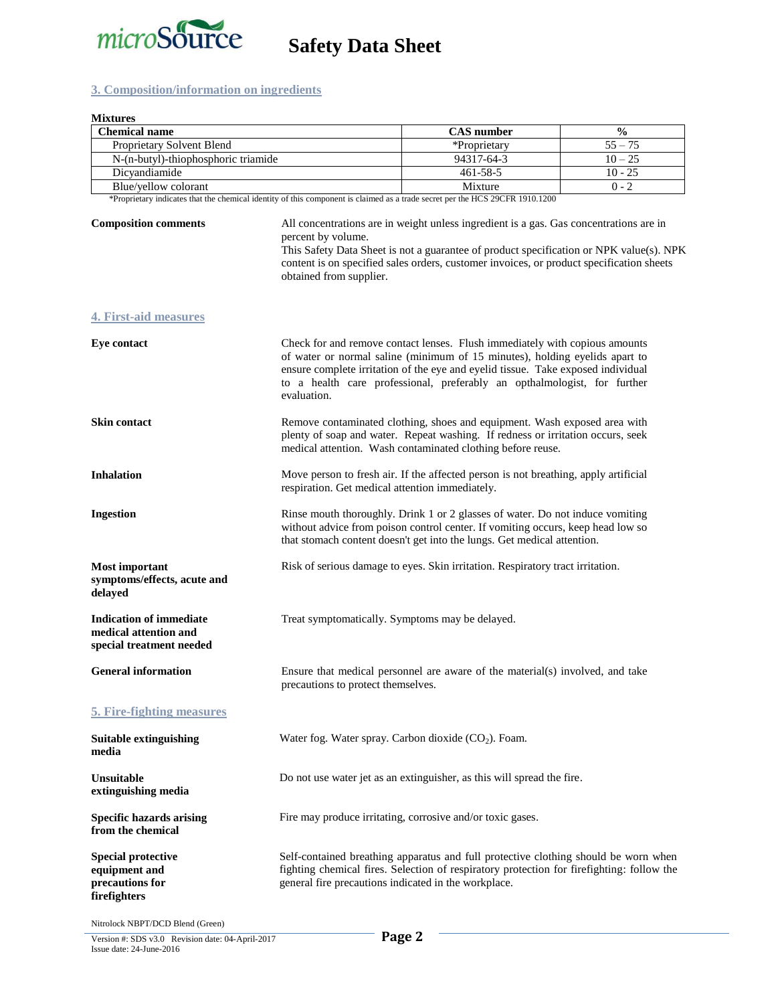

### **3. Composition/information on ingredients**

| <b>Mixtures</b><br><b>Chemical name</b>                                             |                                                                                                                                                                                                                                                                                                                                | <b>CAS</b> number                                                                                                                                                                                                                                                                                                          | $\frac{0}{0}$ |
|-------------------------------------------------------------------------------------|--------------------------------------------------------------------------------------------------------------------------------------------------------------------------------------------------------------------------------------------------------------------------------------------------------------------------------|----------------------------------------------------------------------------------------------------------------------------------------------------------------------------------------------------------------------------------------------------------------------------------------------------------------------------|---------------|
| Proprietary Solvent Blend                                                           |                                                                                                                                                                                                                                                                                                                                | *Proprietary                                                                                                                                                                                                                                                                                                               | $55 - 75$     |
| N-(n-butyl)-thiophosphoric triamide                                                 |                                                                                                                                                                                                                                                                                                                                | 94317-64-3                                                                                                                                                                                                                                                                                                                 | $10 - 25$     |
| Dicyandiamide                                                                       |                                                                                                                                                                                                                                                                                                                                | 461-58-5                                                                                                                                                                                                                                                                                                                   | $10 - 25$     |
| Blue/yellow colorant                                                                |                                                                                                                                                                                                                                                                                                                                | Mixture                                                                                                                                                                                                                                                                                                                    | $0 - 2$       |
|                                                                                     |                                                                                                                                                                                                                                                                                                                                | *Proprietary indicates that the chemical identity of this component is claimed as a trade secret per the HCS 29CFR 1910.1200                                                                                                                                                                                               |               |
| <b>Composition comments</b>                                                         | All concentrations are in weight unless ingredient is a gas. Gas concentrations are in<br>percent by volume.<br>This Safety Data Sheet is not a guarantee of product specification or NPK value(s). NPK<br>content is on specified sales orders, customer invoices, or product specification sheets<br>obtained from supplier. |                                                                                                                                                                                                                                                                                                                            |               |
| <b>4. First-aid measures</b>                                                        |                                                                                                                                                                                                                                                                                                                                |                                                                                                                                                                                                                                                                                                                            |               |
| <b>Eye contact</b>                                                                  | evaluation.                                                                                                                                                                                                                                                                                                                    | Check for and remove contact lenses. Flush immediately with copious amounts<br>of water or normal saline (minimum of 15 minutes), holding eyelids apart to<br>ensure complete irritation of the eye and eyelid tissue. Take exposed individual<br>to a health care professional, preferably an opthalmologist, for further |               |
| Skin contact                                                                        | Remove contaminated clothing, shoes and equipment. Wash exposed area with<br>plenty of soap and water. Repeat washing. If redness or irritation occurs, seek<br>medical attention. Wash contaminated clothing before reuse.                                                                                                    |                                                                                                                                                                                                                                                                                                                            |               |
| <b>Inhalation</b>                                                                   | Move person to fresh air. If the affected person is not breathing, apply artificial<br>respiration. Get medical attention immediately.                                                                                                                                                                                         |                                                                                                                                                                                                                                                                                                                            |               |
| <b>Ingestion</b>                                                                    | Rinse mouth thoroughly. Drink 1 or 2 glasses of water. Do not induce vomiting<br>without advice from poison control center. If vomiting occurs, keep head low so<br>that stomach content doesn't get into the lungs. Get medical attention.                                                                                    |                                                                                                                                                                                                                                                                                                                            |               |
| <b>Most important</b><br>symptoms/effects, acute and<br>delayed                     | Risk of serious damage to eyes. Skin irritation. Respiratory tract irritation.                                                                                                                                                                                                                                                 |                                                                                                                                                                                                                                                                                                                            |               |
| <b>Indication of immediate</b><br>medical attention and<br>special treatment needed | Treat symptomatically. Symptoms may be delayed.                                                                                                                                                                                                                                                                                |                                                                                                                                                                                                                                                                                                                            |               |
| <b>General information</b>                                                          | Ensure that medical personnel are aware of the material(s) involved, and take<br>precautions to protect themselves.                                                                                                                                                                                                            |                                                                                                                                                                                                                                                                                                                            |               |
| <b>5. Fire-fighting measures</b>                                                    |                                                                                                                                                                                                                                                                                                                                |                                                                                                                                                                                                                                                                                                                            |               |
| <b>Suitable extinguishing</b><br>media                                              | Water fog. Water spray. Carbon dioxide $(CO2)$ . Foam.                                                                                                                                                                                                                                                                         |                                                                                                                                                                                                                                                                                                                            |               |
| Unsuitable<br>extinguishing media                                                   | Do not use water jet as an extinguisher, as this will spread the fire.                                                                                                                                                                                                                                                         |                                                                                                                                                                                                                                                                                                                            |               |
| <b>Specific hazards arising</b><br>from the chemical                                | Fire may produce irritating, corrosive and/or toxic gases.                                                                                                                                                                                                                                                                     |                                                                                                                                                                                                                                                                                                                            |               |
| <b>Special protective</b><br>equipment and<br>precautions for<br>firefighters       | Self-contained breathing apparatus and full protective clothing should be worn when<br>fighting chemical fires. Selection of respiratory protection for firefighting: follow the<br>general fire precautions indicated in the workplace.                                                                                       |                                                                                                                                                                                                                                                                                                                            |               |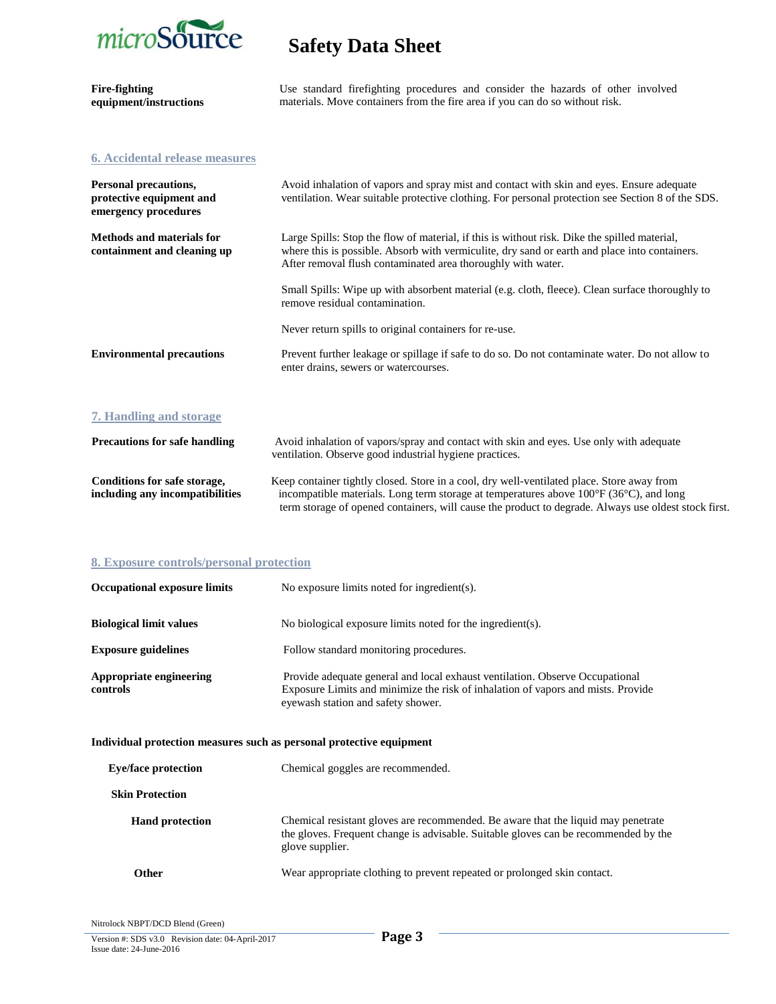

| <b>Fire-fighting</b><br>equipment/instructions                            | Use standard firefighting procedures and consider the hazards of other involved<br>materials. Move containers from the fire area if you can do so without risk.                                                                                               |
|---------------------------------------------------------------------------|---------------------------------------------------------------------------------------------------------------------------------------------------------------------------------------------------------------------------------------------------------------|
| <b>6. Accidental release measures</b>                                     |                                                                                                                                                                                                                                                               |
| Personal precautions,<br>protective equipment and<br>emergency procedures | Avoid inhalation of vapors and spray mist and contact with skin and eyes. Ensure adequate<br>ventilation. Wear suitable protective clothing. For personal protection see Section 8 of the SDS.                                                                |
| <b>Methods and materials for</b><br>containment and cleaning up           | Large Spills: Stop the flow of material, if this is without risk. Dike the spilled material,<br>where this is possible. Absorb with vermiculite, dry sand or earth and place into containers.<br>After removal flush contaminated area thoroughly with water. |
|                                                                           | Small Spills: Wipe up with absorbent material (e.g. cloth, fleece). Clean surface thoroughly to<br>remove residual contamination.                                                                                                                             |
|                                                                           | Never return spills to original containers for re-use.                                                                                                                                                                                                        |
| <b>Environmental precautions</b>                                          | Prevent further leakage or spillage if safe to do so. Do not contaminate water. Do not allow to<br>enter drains, sewers or watercourses.                                                                                                                      |
| 7. Handling and storage                                                   |                                                                                                                                                                                                                                                               |
| <b>Precautions for safe handling</b>                                      | Avoid inhalation of vapors/spray and contact with skin and eyes. Use only with adequate<br>ventilation. Observe good industrial hygiene practices.                                                                                                            |
| Conditions for safe storage,<br>including any incompatibilities           | Keep container tightly closed. Store in a cool, dry well-ventilated place. Store away from<br>incompatible materials. Long term storage at temperatures above 100°F (36°C), and long                                                                          |

term storage of opened containers, will cause the product to degrade. Always use oldest stock first.

### **8. Exposure controls/personal protection**

| <b>Occupational exposure limits</b>                                  | No exposure limits noted for ingredient(s).                                                                                                                                                            |
|----------------------------------------------------------------------|--------------------------------------------------------------------------------------------------------------------------------------------------------------------------------------------------------|
| <b>Biological limit values</b>                                       | No biological exposure limits noted for the ingredient(s).                                                                                                                                             |
| <b>Exposure guidelines</b>                                           | Follow standard monitoring procedures.                                                                                                                                                                 |
| Appropriate engineering<br>controls                                  | Provide adequate general and local exhaust ventilation. Observe Occupational<br>Exposure Limits and minimize the risk of inhalation of vapors and mists. Provide<br>eyewash station and safety shower. |
| Individual protection measures such as personal protective equipment |                                                                                                                                                                                                        |
| <b>Eye/face protection</b>                                           | Chemical goggles are recommended.                                                                                                                                                                      |
| <b>Skin Protection</b>                                               |                                                                                                                                                                                                        |
| <b>Hand protection</b>                                               | Chemical resistant gloves are recommended. Be aware that the liquid may penetrate<br>the gloves. Frequent change is advisable. Suitable gloves can be recommended by the<br>glove supplier.            |
| <b>Other</b>                                                         | Wear appropriate clothing to prevent repeated or prolonged skin contact.                                                                                                                               |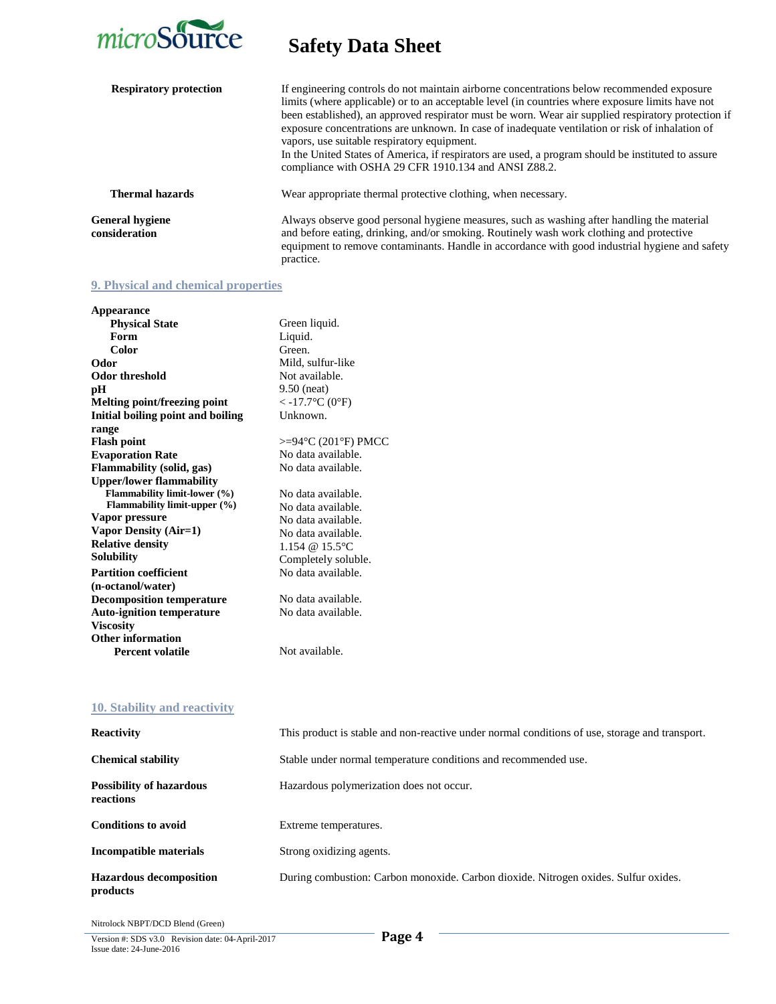

| <b>Respiratory protection</b>    | If engineering controls do not maintain airborne concentrations below recommended exposure<br>limits (where applicable) or to an acceptable level (in countries where exposure limits have not<br>been established), an approved respirator must be worn. Wear air supplied respiratory protection if<br>exposure concentrations are unknown. In case of inadequate ventilation or risk of inhalation of<br>vapors, use suitable respiratory equipment.<br>In the United States of America, if respirators are used, a program should be instituted to assure<br>compliance with OSHA 29 CFR 1910.134 and ANSI Z88.2. |
|----------------------------------|-----------------------------------------------------------------------------------------------------------------------------------------------------------------------------------------------------------------------------------------------------------------------------------------------------------------------------------------------------------------------------------------------------------------------------------------------------------------------------------------------------------------------------------------------------------------------------------------------------------------------|
| <b>Thermal hazards</b>           | Wear appropriate thermal protective clothing, when necessary.                                                                                                                                                                                                                                                                                                                                                                                                                                                                                                                                                         |
| General hygiene<br>consideration | Always observe good personal hygiene measures, such as washing after handling the material<br>and before eating, drinking, and/or smoking. Routinely wash work clothing and protective<br>equipment to remove contaminants. Handle in accordance with good industrial hygiene and safety<br>practice.                                                                                                                                                                                                                                                                                                                 |

### **9. Physical and chemical properties**

| Appearance                             |                          |
|----------------------------------------|--------------------------|
| <b>Physical State</b>                  | Green liquid.            |
| Form                                   | Liquid.                  |
| Color                                  | Green.                   |
| Odor                                   | Mild, sulfur-like        |
| Odor threshold                         | Not available.           |
| pН                                     | $9.50$ (neat)            |
| Melting point/freezing point           | $<$ -17.7 °C (0 °F)      |
| Initial boiling point and boiling      | Unknown.                 |
| range                                  |                          |
| <b>Flash point</b>                     | $>=94$ °C (201°F) PMCC   |
| <b>Evaporation Rate</b>                | No data available.       |
| <b>Flammability</b> (solid, gas)       | No data available.       |
| <b>Upper/lower flammability</b>        |                          |
| <b>Flammability limit-lower</b> (%)    | No data available.       |
| <b>Flammability limit-upper</b> $(\%)$ | No data available.       |
| Vapor pressure                         | No data available.       |
| Vapor Density (Air=1)                  | No data available.       |
| <b>Relative density</b>                | 1.154 @ $15.5^{\circ}$ C |
| <b>Solubility</b>                      | Completely soluble.      |
| <b>Partition coefficient</b>           | No data available.       |
| (n-octanol/water)                      |                          |
| <b>Decomposition temperature</b>       | No data available.       |
| <b>Auto-ignition temperature</b>       | No data available.       |
| <b>Viscosity</b>                       |                          |
| Other information                      |                          |
| <b>Percent volatile</b>                | Not available.           |
|                                        |                          |

### **10. Stability and reactivity**

| <b>Reactivity</b>                            | This product is stable and non-reactive under normal conditions of use, storage and transport. |
|----------------------------------------------|------------------------------------------------------------------------------------------------|
| <b>Chemical stability</b>                    | Stable under normal temperature conditions and recommended use.                                |
| <b>Possibility of hazardous</b><br>reactions | Hazardous polymerization does not occur.                                                       |
| <b>Conditions to avoid</b>                   | Extreme temperatures.                                                                          |
| Incompatible materials                       | Strong oxidizing agents.                                                                       |
| <b>Hazardous decomposition</b><br>products   | During combustion: Carbon monoxide. Carbon dioxide. Nitrogen oxides. Sulfur oxides.            |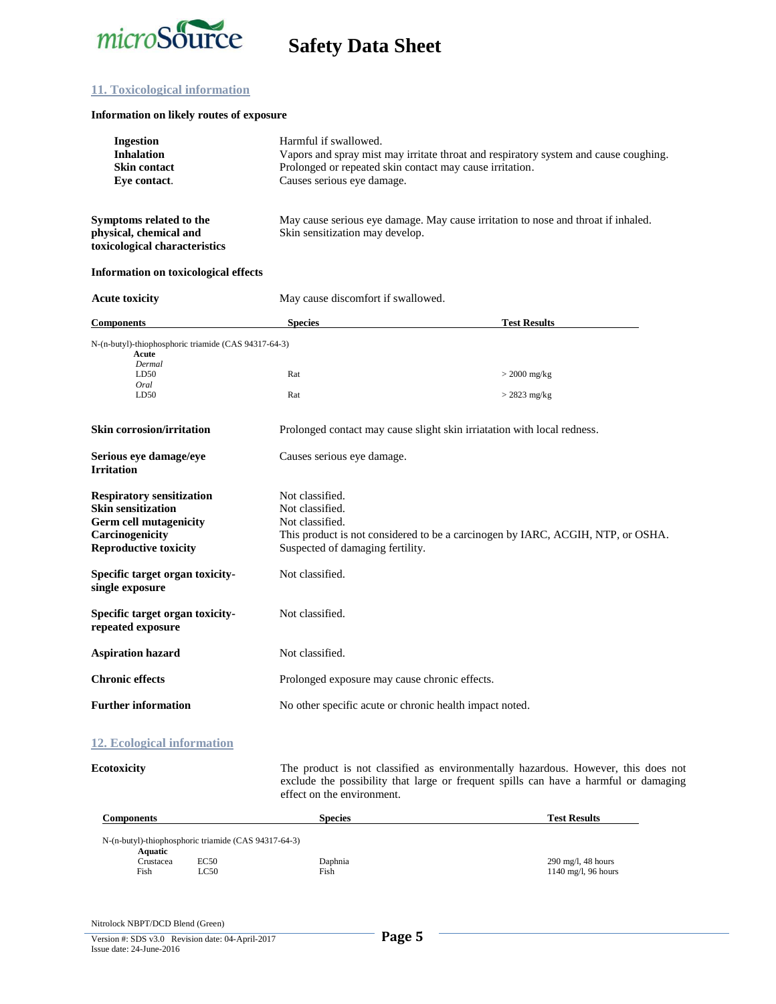

#### **11. Toxicological information**

#### **Information on likely routes of exposure**

| <b>Ingestion</b>                                                                   | Harmful if swallowed.                                                                                                |  |  |
|------------------------------------------------------------------------------------|----------------------------------------------------------------------------------------------------------------------|--|--|
| <b>Inhalation</b>                                                                  | Vapors and spray mist may irritate throat and respiratory system and cause coughing.                                 |  |  |
| <b>Skin contact</b>                                                                | Prolonged or repeated skin contact may cause irritation.                                                             |  |  |
| Eve contact.                                                                       | Causes serious eye damage.                                                                                           |  |  |
| Symptoms related to the<br>physical, chemical and<br>toxicological characteristics | May cause serious eye damage. May cause irritation to nose and throat if inhaled.<br>Skin sensitization may develop. |  |  |
|                                                                                    |                                                                                                                      |  |  |

#### **Information on toxicological effects**

| <b>Acute toxicity</b>                                         | May cause discomfort if swallowed.                                              |                     |
|---------------------------------------------------------------|---------------------------------------------------------------------------------|---------------------|
| <b>Components</b>                                             | <b>Species</b>                                                                  | <b>Test Results</b> |
| N-(n-butyl)-thiophosphoric triamide (CAS 94317-64-3)<br>Acute |                                                                                 |                     |
| Dermal                                                        |                                                                                 |                     |
| LD50                                                          | Rat                                                                             | $>$ 2000 mg/kg      |
| Oral<br>LD50                                                  | Rat                                                                             | $>$ 2823 mg/kg      |
| <b>Skin corrosion/irritation</b>                              | Prolonged contact may cause slight skin irriatation with local redness.         |                     |
| Serious eye damage/eye<br><b>Irritation</b>                   | Causes serious eye damage.                                                      |                     |
| <b>Respiratory sensitization</b>                              | Not classified.                                                                 |                     |
| <b>Skin sensitization</b>                                     | Not classified.                                                                 |                     |
| <b>Germ cell mutagenicity</b>                                 | Not classified.                                                                 |                     |
| Carcinogenicity                                               | This product is not considered to be a carcinogen by IARC, ACGIH, NTP, or OSHA. |                     |
| <b>Reproductive toxicity</b>                                  | Suspected of damaging fertility.                                                |                     |
| Specific target organ toxicity-<br>single exposure            | Not classified.                                                                 |                     |
| Specific target organ toxicity-<br>repeated exposure          | Not classified.                                                                 |                     |
| <b>Aspiration hazard</b>                                      | Not classified.                                                                 |                     |
| <b>Chronic effects</b>                                        | Prolonged exposure may cause chronic effects.                                   |                     |
| <b>Further information</b>                                    | No other specific acute or chronic health impact noted.                         |                     |
|                                                               |                                                                                 |                     |

#### **12. Ecological information**

**Ecotoxicity** The product is not classified as environmentally hazardous. However, this does not exclude the possibility that large or frequent spills can have a harmful or damaging effect on the environment.

| Components                                                      |       | <b>Species</b> | <b>Test Results</b>           |
|-----------------------------------------------------------------|-------|----------------|-------------------------------|
| N-(n-butyl)-thiophosphoric triamide (CAS 94317-64-3)<br>Aquatic |       |                |                               |
| Crustacea                                                       | EC50  | Daphnia        | $290 \text{ mg/l}$ , 48 hours |
| Fish                                                            | LC50. | Fish           | $1140$ mg/l, 96 hours         |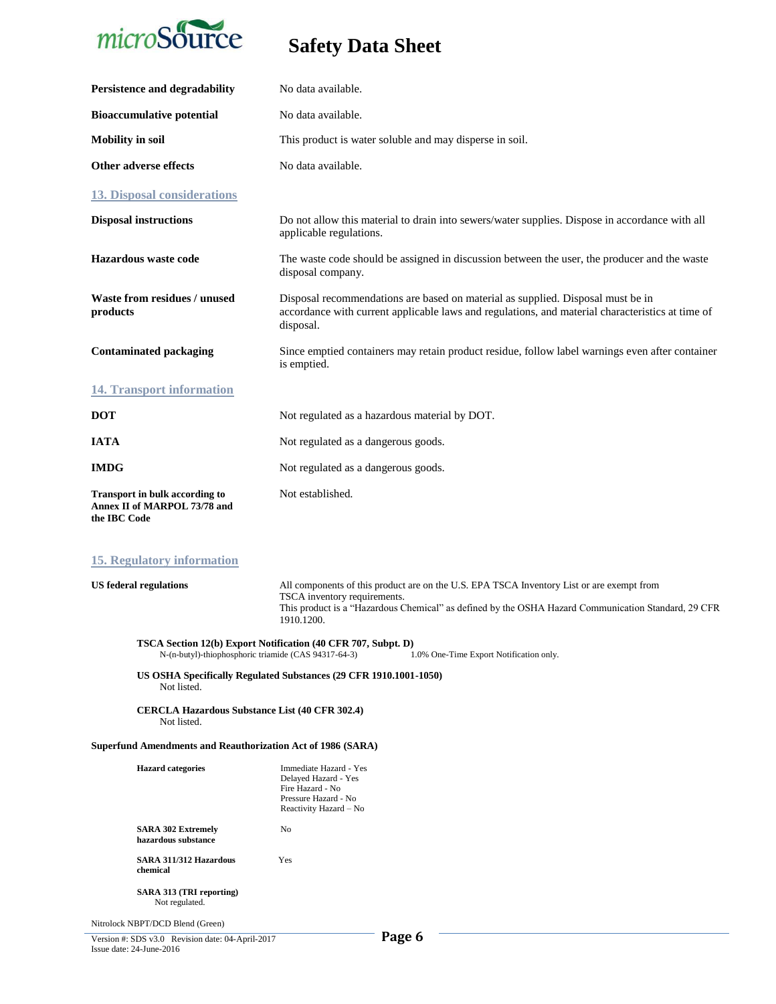

| Persistence and degradability                                                                                                                                    | No data available.                                                                                                                                                                                                                             |  |
|------------------------------------------------------------------------------------------------------------------------------------------------------------------|------------------------------------------------------------------------------------------------------------------------------------------------------------------------------------------------------------------------------------------------|--|
| <b>Bioaccumulative potential</b>                                                                                                                                 | No data available.                                                                                                                                                                                                                             |  |
| <b>Mobility in soil</b>                                                                                                                                          | This product is water soluble and may disperse in soil.                                                                                                                                                                                        |  |
| Other adverse effects                                                                                                                                            | No data available.                                                                                                                                                                                                                             |  |
| <b>13. Disposal considerations</b>                                                                                                                               |                                                                                                                                                                                                                                                |  |
| <b>Disposal instructions</b>                                                                                                                                     | Do not allow this material to drain into sewers/water supplies. Dispose in accordance with all<br>applicable regulations.                                                                                                                      |  |
| Hazardous waste code                                                                                                                                             | The waste code should be assigned in discussion between the user, the producer and the waste<br>disposal company.                                                                                                                              |  |
| Waste from residues / unused<br>products                                                                                                                         | Disposal recommendations are based on material as supplied. Disposal must be in<br>accordance with current applicable laws and regulations, and material characteristics at time of<br>disposal.                                               |  |
| <b>Contaminated packaging</b>                                                                                                                                    | Since emptied containers may retain product residue, follow label warnings even after container<br>is emptied.                                                                                                                                 |  |
| <b>14. Transport information</b>                                                                                                                                 |                                                                                                                                                                                                                                                |  |
| <b>DOT</b>                                                                                                                                                       | Not regulated as a hazardous material by DOT.                                                                                                                                                                                                  |  |
| <b>IATA</b>                                                                                                                                                      | Not regulated as a dangerous goods.                                                                                                                                                                                                            |  |
| <b>IMDG</b>                                                                                                                                                      | Not regulated as a dangerous goods.                                                                                                                                                                                                            |  |
| <b>Transport in bulk according to</b><br>Annex II of MARPOL 73/78 and<br>the IBC Code                                                                            | Not established.                                                                                                                                                                                                                               |  |
| <b>15. Regulatory information</b>                                                                                                                                |                                                                                                                                                                                                                                                |  |
| <b>US</b> federal regulations                                                                                                                                    | All components of this product are on the U.S. EPA TSCA Inventory List or are exempt from<br>TSCA inventory requirements.<br>This product is a "Hazardous Chemical" as defined by the OSHA Hazard Communication Standard, 29 CFR<br>1910.1200. |  |
| TSCA Section 12(b) Export Notification (40 CFR 707, Subpt. D)<br>N-(n-butyl)-thiophosphoric triamide (CAS 94317-64-3)<br>1.0% One-Time Export Notification only. |                                                                                                                                                                                                                                                |  |
| US OSHA Specifically Regulated Substances (29 CFR 1910.1001-1050)<br>Not listed.                                                                                 |                                                                                                                                                                                                                                                |  |
| <b>CERCLA Hazardous Substance List (40 CFR 302.4)</b><br>Not listed.                                                                                             |                                                                                                                                                                                                                                                |  |
| <b>Superfund Amendments and Reauthorization Act of 1986 (SARA)</b>                                                                                               |                                                                                                                                                                                                                                                |  |

| <b>Hazard categories</b>                         | Immediate Hazard - Yes<br>Delayed Hazard - Yes<br>Fire Hazard - No<br>Pressure Hazard - No<br>Reactivity Hazard - No |
|--------------------------------------------------|----------------------------------------------------------------------------------------------------------------------|
| <b>SARA 302 Extremely</b><br>hazardous substance | No                                                                                                                   |
| SARA 311/312 Hazardous<br>chemical               | Yes                                                                                                                  |
| SARA 313 (TRI reporting)<br>Not regulated.       |                                                                                                                      |
| Nitrolock NBPT/DCD Blend (Green)                 |                                                                                                                      |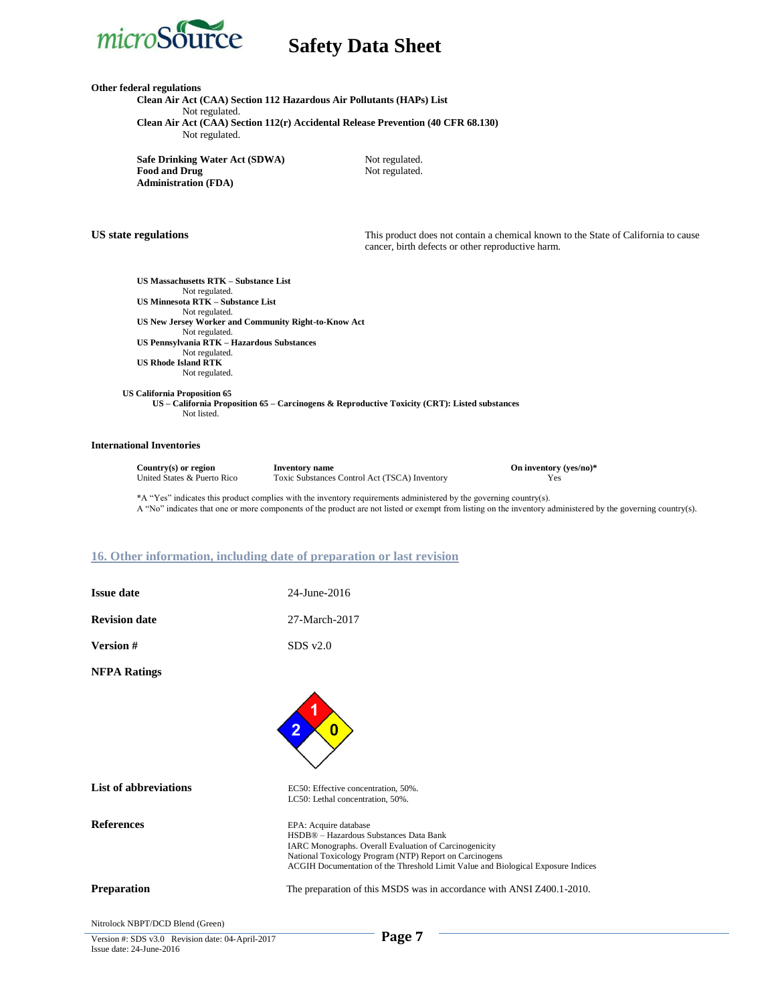

**Other federal regulations**

**Clean Air Act (CAA) Section 112 Hazardous Air Pollutants (HAPs) List** Not regulated. **Clean Air Act (CAA) Section 112(r) Accidental Release Prevention (40 CFR 68.130)** Not regulated.

**Safe Drinking Water Act (SDWA)** Not regulated.<br> **Food and Drug** Not regulated. **Food and Drug Administration (FDA)**

**US state regulations** This product does not contain a chemical known to the State of California to cause cancer, birth defects or other reproductive harm.

**US Massachusetts RTK – Substance List** Not regulated. **US Minnesota RTK – Substance List** Not regulated. **US New Jersey Worker and Community Right-to-Know Act** Not regulated. **US Pennsylvania RTK – Hazardous Substances** Not regulated. **US Rhode Island RTK** Not regulated.

 **US California Proposition 65 US – California Proposition 65 – Carcinogens & Reproductive Toxicity (CRT): Listed substances** Not listed.

#### **International Inventories**

| Country(s) or region        | <b>Inventory name</b>                         | On inventory (yes/no)* |
|-----------------------------|-----------------------------------------------|------------------------|
| United States & Puerto Rico | Toxic Substances Control Act (TSCA) Inventory | Yes                    |

\*A "Yes" indicates this product complies with the inventory requirements administered by the governing country(s). A "No" indicates that one or more components of the product are not listed or exempt from listing on the inventory administered by the governing country(s).

#### **16. Other information, including date of preparation or last revision**

**Issue date** 24-June-2016 **Revision date** 27-March-2017

**Version #** SDS v2.0

**NFPA Ratings**

| List of abbreviations                                                                                                                                                                                                                                                                                                              | EC50: Effective concentration, 50%.                                              |
|------------------------------------------------------------------------------------------------------------------------------------------------------------------------------------------------------------------------------------------------------------------------------------------------------------------------------------|----------------------------------------------------------------------------------|
|                                                                                                                                                                                                                                                                                                                                    | LC50: Lethal concentration, 50%.                                                 |
| <b>References</b>                                                                                                                                                                                                                                                                                                                  | EPA: Acquire database                                                            |
|                                                                                                                                                                                                                                                                                                                                    | HSDB® - Hazardous Substances Data Bank                                           |
|                                                                                                                                                                                                                                                                                                                                    | <b>IARC Monographs. Overall Evaluation of Carcinogenicity</b>                    |
|                                                                                                                                                                                                                                                                                                                                    | National Toxicology Program (NTP) Report on Carcinogens                          |
|                                                                                                                                                                                                                                                                                                                                    | ACGIH Documentation of the Threshold Limit Value and Biological Exposure Indices |
| Preparation                                                                                                                                                                                                                                                                                                                        | The preparation of this MSDS was in accordance with ANSI Z400.1-2010.            |
| Nitrolock NBPT/DCD Blend (Green)                                                                                                                                                                                                                                                                                                   |                                                                                  |
| $\mathbf{v}$ $\mathbf{v}$ $\mathbf{v}$ $\mathbf{v}$ $\mathbf{v}$ $\mathbf{v}$ $\mathbf{v}$ $\mathbf{v}$ $\mathbf{v}$ $\mathbf{v}$ $\mathbf{v}$ $\mathbf{v}$ $\mathbf{v}$ $\mathbf{v}$ $\mathbf{v}$ $\mathbf{v}$ $\mathbf{v}$ $\mathbf{v}$ $\mathbf{v}$ $\mathbf{v}$ $\mathbf{v}$ $\mathbf{v}$ $\mathbf{v}$ $\mathbf{v}$ $\mathbf{$ | $\mathbf{D}\boldsymbol{\alpha}\boldsymbol{\alpha}\boldsymbol{\gamma}$            |